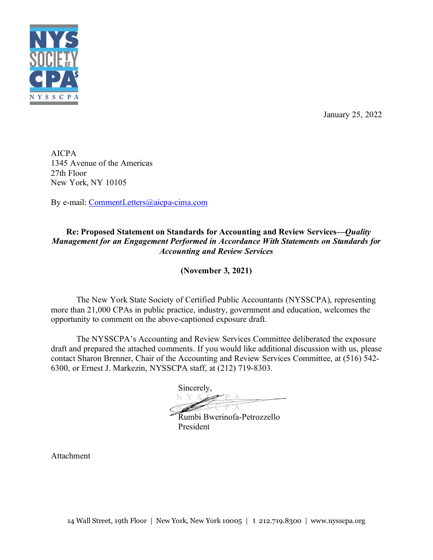

January 25, 2022

AICPA 1345 Avenue of the Americas 27th Floor New York, NY 10105

By e-mail: [CommentLetters@aicpa-cima.com](mailto:CommentLetters@aicpa-cima.com)

## **Re: Proposed Statement on Standards for Accounting and Review Services—***Quality Management for an Engagement Performed in Accordance With Statements on Standards for Accounting and Review Services*

**(November 3, 2021)**

The New York State Society of Certified Public Accountants (NYSSCPA), representing more than 21,000 CPAs in public practice, industry, government and education, welcomes the opportunity to comment on the above-captioned exposure draft.

The NYSSCPA's Accounting and Review Services Committee deliberated the exposure draft and prepared the attached comments. If you would like additional discussion with us, please contact Sharon Brenner, Chair of the Accounting and Review Services Committee, at (516) 542- 6300, or Ernest J. Markezin, NYSSCPA staff, at (212) 719-8303.

Sincerely, **N Y S SEP A** N Y S S C P A

Rumbi Bwerinofa-Petrozzello President

Attachment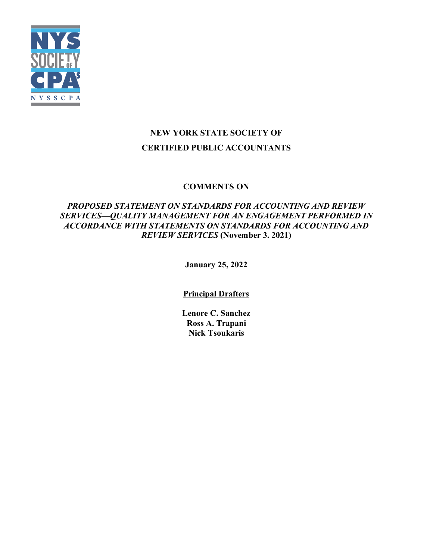

# **NEW YORK STATE SOCIETY OF CERTIFIED PUBLIC ACCOUNTANTS**

# **COMMENTS ON**

# *PROPOSED STATEMENT ON STANDARDS FOR ACCOUNTING AND REVIEW SERVICES—QUALITY MANAGEMENT FOR AN ENGAGEMENT PERFORMED IN ACCORDANCE WITH STATEMENTS ON STANDARDS FOR ACCOUNTING AND REVIEW SERVICES* **(November 3. 2021)**

**January 25, 2022**

**Principal Drafters**

**Lenore C. Sanchez Ross A. Trapani Nick Tsoukaris**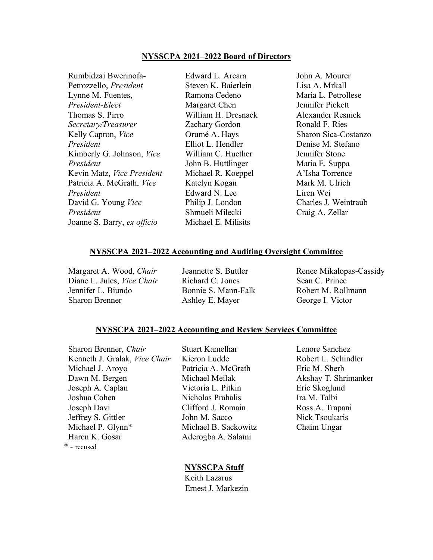#### **NYSSCPA 2021–2022 Board of Directors**

Rumbidzai Bwerinofa-Petrozzello, *President* Lynne M. Fuentes, *President-Elect* Thomas S. Pirro *Secretary/Treasurer* Kelly Capron, *Vice President* Kimberly G. Johnson, *Vice President* Kevin Matz, *Vice President* Patricia A. McGrath, *Vice President* David G. Young *Vice President* Joanne S. Barry, *ex officio* Michael E. Milisits

Edward L. Arcara Steven K. Baierlein Ramona Cedeno Margaret Chen William H. Dresnack Zachary Gordon Orumé A. Hays Elliot L. Hendler William C. Huether John B. Huttlinger Michael R. Koeppel Katelyn Kogan Edward N. Lee Philip J. London Shmueli Milecki

John A. Mourer Lisa A. Mrkall Maria L. Petrollese Jennifer Pickett Alexander Resnick Ronald F. Ries Sharon Sica-Costanzo Denise M. Stefano Jennifer Stone Maria E. Suppa A'Isha Torrence Mark M. Ulrich Liren Wei Charles J. Weintraub Craig A. Zellar

#### **NYSSCPA 2021–2022 Accounting and Auditing Oversight Committee**

Margaret A. Wood, *Chair* Diane L. Jules, *Vice Chair* Jennifer L. Biundo Sharon Brenner

Jeannette S. Buttler Richard C. Jones Bonnie S. Mann-Falk Ashley E. Mayer

Renee Mikalopas-Cassidy Sean C. Prince Robert M. Rollmann George I. Victor

#### **NYSSCPA 2021–2022 Accounting and Review Services Committee**

Sharon Brenner, *Chair* Stuart Kamelhar Lenore Sanchez Kenneth J. Gralak, *Vice Chair* Kieron Ludde Robert L. Schindler Michael J. Aroyo Patricia A. McGrath Eric M. Sherb Dawn M. Bergen Joseph A. Caplan Joshua Cohen Nicholas Prahalis Ira M. Talbi Joseph Davi Clifford J. Romain Ross A. Trapani Jeffrey S. Gittler **John M. Sacco** Nick Tsoukaris Michael P. Glynn\* Michael B. Sackowitz Chaim Ungar Haren K. Gosar Aderogba A. Salami \* - recused

Michael Meilak Victoria L. Pitkin

Akshay T. Shrimanker Eric Skoglund

## **NYSSCPA Staff**

 Keith Lazarus Ernest J. Markezin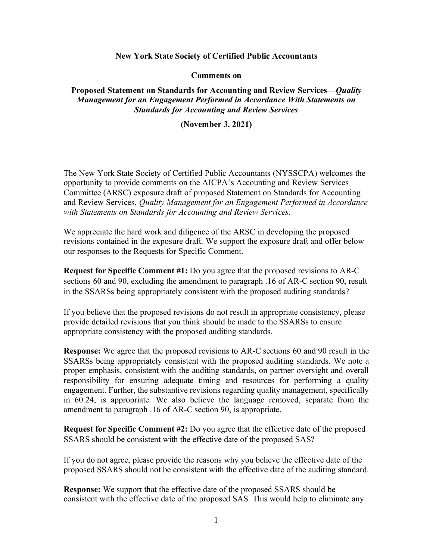## **New York State Society of Certified Public Accountants**

**Comments on**

**Proposed Statement on Standards for Accounting and Review Services—***Quality Management for an Engagement Performed in Accordance With Statements on Standards for Accounting and Review Services*

**(November 3, 2021)**

The New York State Society of Certified Public Accountants (NYSSCPA) welcomes the opportunity to provide comments on the AICPA's Accounting and Review Services Committee (ARSC) exposure draft of proposed Statement on Standards for Accounting and Review Services, *Quality Management for an Engagement Performed in Accordance with Statements on Standards for Accounting and Review Services*.

We appreciate the hard work and diligence of the ARSC in developing the proposed revisions contained in the exposure draft. We support the exposure draft and offer below our responses to the Requests for Specific Comment.

**Request for Specific Comment #1:** Do you agree that the proposed revisions to AR-C sections 60 and 90, excluding the amendment to paragraph .16 of AR-C section 90, result in the SSARSs being appropriately consistent with the proposed auditing standards?

If you believe that the proposed revisions do not result in appropriate consistency, please provide detailed revisions that you think should be made to the SSARSs to ensure appropriate consistency with the proposed auditing standards.

**Response:** We agree that the proposed revisions to AR-C sections 60 and 90 result in the SSARSs being appropriately consistent with the proposed auditing standards. We note a proper emphasis, consistent with the auditing standards, on partner oversight and overall responsibility for ensuring adequate timing and resources for performing a quality engagement. Further, the substantive revisions regarding quality management, specifically in 60.24, is appropriate. We also believe the language removed, separate from the amendment to paragraph .16 of AR-C section 90, is appropriate.

**Request for Specific Comment #2:** Do you agree that the effective date of the proposed SSARS should be consistent with the effective date of the proposed SAS?

If you do not agree, please provide the reasons why you believe the effective date of the proposed SSARS should not be consistent with the effective date of the auditing standard.

**Response:** We support that the effective date of the proposed SSARS should be consistent with the effective date of the proposed SAS. This would help to eliminate any